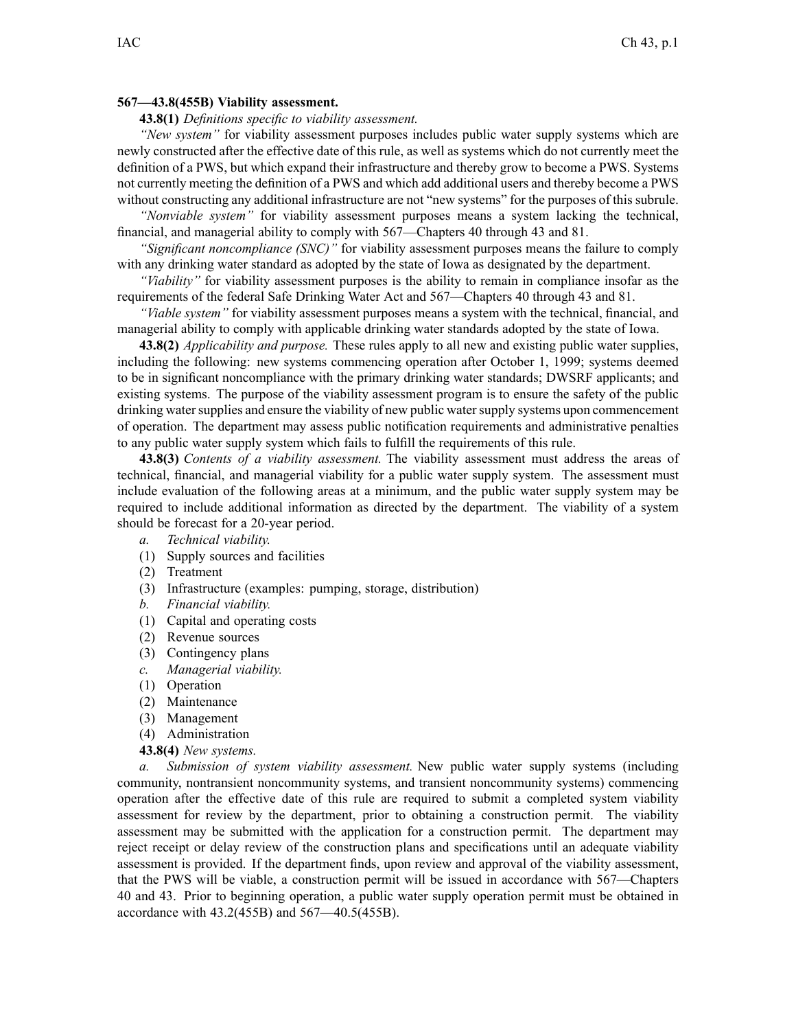## **567—43.8(455B) Viability assessment.**

**43.8(1)** *Definitions specific to viability assessment.*

*"New system"* for viability assessment purposes includes public water supply systems which are newly constructed after the effective date of this rule, as well as systems which do not currently meet the definition of <sup>a</sup> PWS, but which expand their infrastructure and thereby grow to become <sup>a</sup> PWS. Systems not currently meeting the definition of <sup>a</sup> PWS and which add additional users and thereby become <sup>a</sup> PWS without constructing any additional infrastructure are not "new systems" for the purposes of this subrule.

*"Nonviable system"* for viability assessment purposes means <sup>a</sup> system lacking the technical, financial, and managerial ability to comply with 567—Chapters 40 through 43 and 81.

*"Significant noncompliance (SNC)"* for viability assessment purposes means the failure to comply with any drinking water standard as adopted by the state of Iowa as designated by the department.

*"Viability"* for viability assessment purposes is the ability to remain in compliance insofar as the requirements of the federal Safe Drinking Water Act and 567—Chapters 40 through 43 and 81.

*"Viable system"* for viability assessment purposes means <sup>a</sup> system with the technical, financial, and managerial ability to comply with applicable drinking water standards adopted by the state of Iowa.

**43.8(2)** *Applicability and purpose.* These rules apply to all new and existing public water supplies, including the following: new systems commencing operation after October 1, 1999; systems deemed to be in significant noncompliance with the primary drinking water standards; DWSRF applicants; and existing systems. The purpose of the viability assessment program is to ensure the safety of the public drinking water supplies and ensure the viability of new public water supply systems upon commencement of operation. The department may assess public notification requirements and administrative penalties to any public water supply system which fails to fulfill the requirements of this rule.

**43.8(3)** *Contents of <sup>a</sup> viability assessment.* The viability assessment must address the areas of technical, financial, and managerial viability for <sup>a</sup> public water supply system. The assessment must include evaluation of the following areas at <sup>a</sup> minimum, and the public water supply system may be required to include additional information as directed by the department. The viability of <sup>a</sup> system should be forecast for <sup>a</sup> 20-year period.

- *a. Technical viability.*
- (1) Supply sources and facilities
- (2) Treatment
- (3) Infrastructure (examples: pumping, storage, distribution)
- *b. Financial viability.*
- (1) Capital and operating costs
- (2) Revenue sources
- (3) Contingency plans
- *c. Managerial viability.*
- (1) Operation
- (2) Maintenance
- (3) Management
- (4) Administration
- **43.8(4)** *New systems.*

*a. Submission of system viability assessment.* New public water supply systems (including community, nontransient noncommunity systems, and transient noncommunity systems) commencing operation after the effective date of this rule are required to submit <sup>a</sup> completed system viability assessment for review by the department, prior to obtaining <sup>a</sup> construction permit. The viability assessment may be submitted with the application for <sup>a</sup> construction permit. The department may reject receipt or delay review of the construction plans and specifications until an adequate viability assessment is provided. If the department finds, upon review and approval of the viability assessment, that the PWS will be viable, <sup>a</sup> construction permit will be issued in accordance with 567—Chapters 40 and 43. Prior to beginning operation, <sup>a</sup> public water supply operation permit must be obtained in accordance with 43.2(455B) and 567—40.5(455B).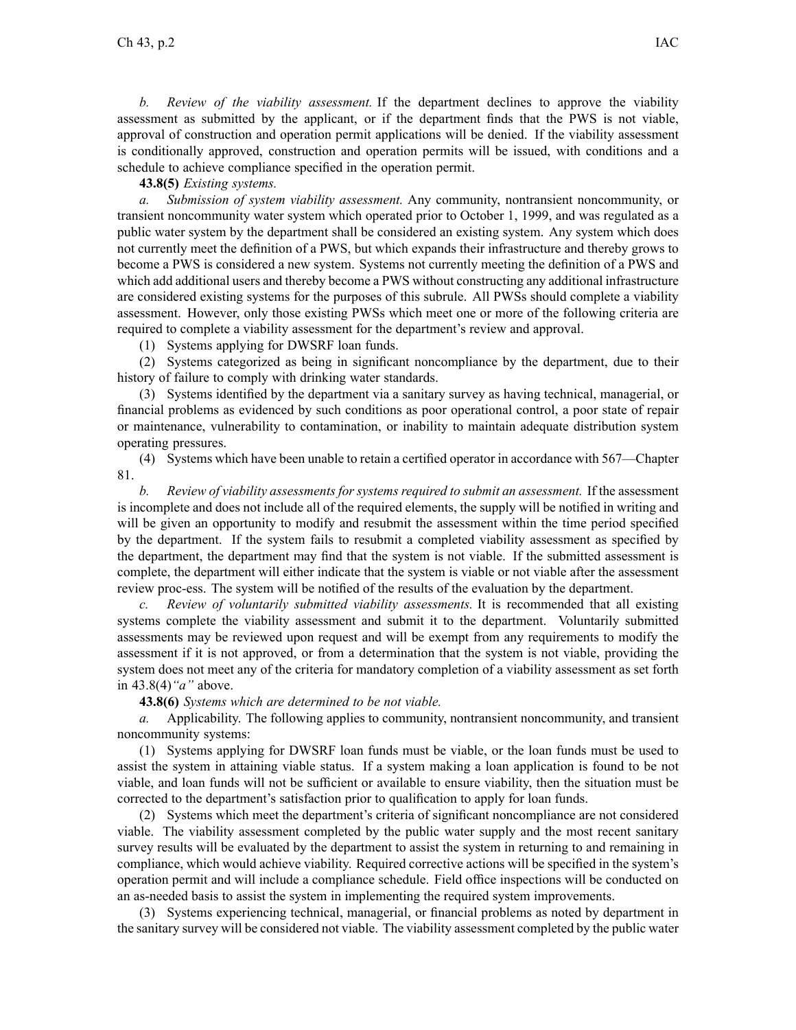*b. Review of the viability assessment.* If the department declines to approve the viability assessment as submitted by the applicant, or if the department finds that the PWS is not viable, approval of construction and operation permit applications will be denied. If the viability assessment is conditionally approved, construction and operation permits will be issued, with conditions and <sup>a</sup> schedule to achieve compliance specified in the operation permit.

## **43.8(5)** *Existing systems.*

*a. Submission of system viability assessment.* Any community, nontransient noncommunity, or transient noncommunity water system which operated prior to October 1, 1999, and was regulated as <sup>a</sup> public water system by the department shall be considered an existing system. Any system which does not currently meet the definition of <sup>a</sup> PWS, but which expands their infrastructure and thereby grows to become <sup>a</sup> PWS is considered <sup>a</sup> new system. Systems not currently meeting the definition of <sup>a</sup> PWS and which add additional users and thereby become <sup>a</sup> PWS without constructing any additional infrastructure are considered existing systems for the purposes of this subrule. All PWSs should complete <sup>a</sup> viability assessment. However, only those existing PWSs which meet one or more of the following criteria are required to complete <sup>a</sup> viability assessment for the department's review and approval.

(1) Systems applying for DWSRF loan funds.

(2) Systems categorized as being in significant noncompliance by the department, due to their history of failure to comply with drinking water standards.

(3) Systems identified by the department via <sup>a</sup> sanitary survey as having technical, managerial, or financial problems as evidenced by such conditions as poor operational control, <sup>a</sup> poor state of repair or maintenance, vulnerability to contamination, or inability to maintain adequate distribution system operating pressures.

(4) Systems which have been unable to retain <sup>a</sup> certified operator in accordance with 567—Chapter 81.

*b. Review of viability assessments for systems required to submit an assessment.* If the assessment is incomplete and does not include all of the required elements, the supply will be notified in writing and will be given an opportunity to modify and resubmit the assessment within the time period specified by the department. If the system fails to resubmit <sup>a</sup> completed viability assessment as specified by the department, the department may find that the system is not viable. If the submitted assessment is complete, the department will either indicate that the system is viable or not viable after the assessment review proc-ess. The system will be notified of the results of the evaluation by the department.

*c. Review of voluntarily submitted viability assessments.* It is recommended that all existing systems complete the viability assessment and submit it to the department. Voluntarily submitted assessments may be reviewed upon reques<sup>t</sup> and will be exemp<sup>t</sup> from any requirements to modify the assessment if it is not approved, or from <sup>a</sup> determination that the system is not viable, providing the system does not meet any of the criteria for mandatory completion of <sup>a</sup> viability assessment as set forth in 43.8(4)*"a"* above.

**43.8(6)** *Systems which are determined to be not viable.*

*a.* Applicability. The following applies to community, nontransient noncommunity, and transient noncommunity systems:

(1) Systems applying for DWSRF loan funds must be viable, or the loan funds must be used to assist the system in attaining viable status. If <sup>a</sup> system making <sup>a</sup> loan application is found to be not viable, and loan funds will not be sufficient or available to ensure viability, then the situation must be corrected to the department's satisfaction prior to qualification to apply for loan funds.

(2) Systems which meet the department's criteria of significant noncompliance are not considered viable. The viability assessment completed by the public water supply and the most recent sanitary survey results will be evaluated by the department to assist the system in returning to and remaining in compliance, which would achieve viability. Required corrective actions will be specified in the system's operation permit and will include <sup>a</sup> compliance schedule. Field office inspections will be conducted on an as-needed basis to assist the system in implementing the required system improvements.

(3) Systems experiencing technical, managerial, or financial problems as noted by department in the sanitary survey will be considered not viable. The viability assessment completed by the public water